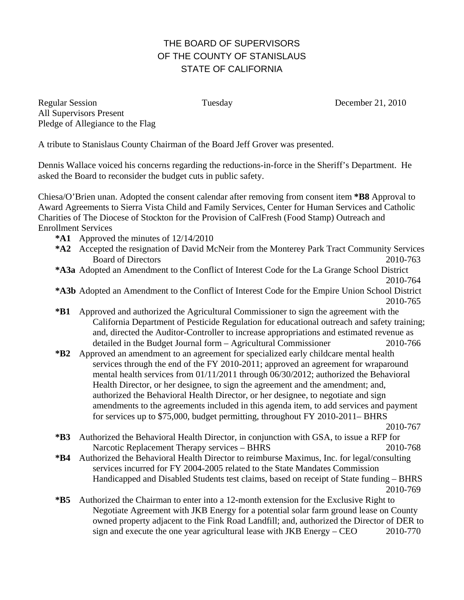## THE BOARD OF SUPERVISORS OF THE COUNTY OF STANISLAUS STATE OF CALIFORNIA

Regular Session Tuesday December 21, 2010 All Supervisors Present Pledge of Allegiance to the Flag

A tribute to Stanislaus County Chairman of the Board Jeff Grover was presented.

Dennis Wallace voiced his concerns regarding the reductions-in-force in the Sheriff's Department. He asked the Board to reconsider the budget cuts in public safety.

Chiesa/O'Brien unan. Adopted the consent calendar after removing from consent item **\*B8** Approval to Award Agreements to Sierra Vista Child and Family Services, Center for Human Services and Catholic Charities of The Diocese of Stockton for the Provision of CalFresh (Food Stamp) Outreach and Enrollment Services

- **\*A1** Approved the minutes of 12/14/2010
- **\*A2** Accepted the resignation of David McNeir from the Monterey Park Tract Community Services Board of Directors 2010-763
- **\*A3a** Adopted an Amendment to the Conflict of Interest Code for the La Grange School District

2010-764

- **\*A3b** Adopted an Amendment to the Conflict of Interest Code for the Empire Union School District 2010-765
- **\*B1** Approved and authorized the Agricultural Commissioner to sign the agreement with the California Department of Pesticide Regulation for educational outreach and safety training; and, directed the Auditor-Controller to increase appropriations and estimated revenue as detailed in the Budget Journal form – Agricultural Commissioner 2010-766
- **\*B2** Approved an amendment to an agreement for specialized early childcare mental health services through the end of the FY 2010-2011; approved an agreement for wraparound mental health services from 01/11/2011 through 06/30/2012; authorized the Behavioral Health Director, or her designee, to sign the agreement and the amendment; and, authorized the Behavioral Health Director, or her designee, to negotiate and sign amendments to the agreements included in this agenda item, to add services and payment for services up to \$75,000, budget permitting, throughout FY 2010-2011– BHRS

2010-767

- **\*B3** Authorized the Behavioral Health Director, in conjunction with GSA, to issue a RFP for Narcotic Replacement Therapy services – BHRS 2010-768
- **\*B4** Authorized the Behavioral Health Director to reimburse Maximus, Inc. for legal/consulting services incurred for FY 2004-2005 related to the State Mandates Commission Handicapped and Disabled Students test claims, based on receipt of State funding – BHRS 2010-769
- **\*B5** Authorized the Chairman to enter into a 12-month extension for the Exclusive Right to Negotiate Agreement with JKB Energy for a potential solar farm ground lease on County owned property adjacent to the Fink Road Landfill; and, authorized the Director of DER to sign and execute the one year agricultural lease with JKB Energy – CEO 2010-770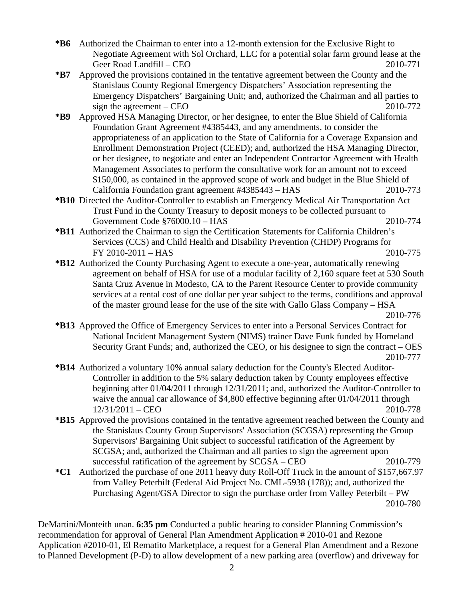- **\*B6** Authorized the Chairman to enter into a 12-month extension for the Exclusive Right to Negotiate Agreement with Sol Orchard, LLC for a potential solar farm ground lease at the Geer Road Landfill – CEO 2010-771
- **\*B7** Approved the provisions contained in the tentative agreement between the County and the Stanislaus County Regional Emergency Dispatchers' Association representing the Emergency Dispatchers' Bargaining Unit; and, authorized the Chairman and all parties to sign the agreement – CEO  $2010-772$
- **\*B9** Approved HSA Managing Director, or her designee, to enter the Blue Shield of California Foundation Grant Agreement #4385443, and any amendments, to consider the appropriateness of an application to the State of California for a Coverage Expansion and Enrollment Demonstration Project (CEED); and, authorized the HSA Managing Director, or her designee, to negotiate and enter an Independent Contractor Agreement with Health Management Associates to perform the consultative work for an amount not to exceed \$150,000, as contained in the approved scope of work and budget in the Blue Shield of California Foundation grant agreement #4385443 – HAS 2010-773
- **\*B10** Directed the Auditor-Controller to establish an Emergency Medical Air Transportation Act Trust Fund in the County Treasury to deposit moneys to be collected pursuant to Government Code §76000.10 – HAS 2010-774
- **\*B11** Authorized the Chairman to sign the Certification Statements for California Children's Services (CCS) and Child Health and Disability Prevention (CHDP) Programs for FY 2010-2011 – HAS 2010-775
- **\*B12** Authorized the County Purchasing Agent to execute a one-year, automatically renewing agreement on behalf of HSA for use of a modular facility of 2,160 square feet at 530 South Santa Cruz Avenue in Modesto, CA to the Parent Resource Center to provide community services at a rental cost of one dollar per year subject to the terms, conditions and approval of the master ground lease for the use of the site with Gallo Glass Company – HSA

- **\*B13** Approved the Office of Emergency Services to enter into a Personal Services Contract for National Incident Management System (NIMS) trainer Dave Funk funded by Homeland Security Grant Funds; and, authorized the CEO, or his designee to sign the contract – OES 2010-777
- **\*B14** Authorized a voluntary 10% annual salary deduction for the County's Elected Auditor-Controller in addition to the 5% salary deduction taken by County employees effective beginning after 01/04/2011 through 12/31/2011; and, authorized the Auditor-Controller to waive the annual car allowance of \$4,800 effective beginning after 01/04/2011 through 12/31/2011 – CEO 2010-778
- **\*B15** Approved the provisions contained in the tentative agreement reached between the County and the Stanislaus County Group Supervisors' Association (SCGSA) representing the Group Supervisors' Bargaining Unit subject to successful ratification of the Agreement by SCGSA; and, authorized the Chairman and all parties to sign the agreement upon successful ratification of the agreement by SCGSA – CEO 2010-779
- **\*C1** Authorized the purchase of one 2011 heavy duty Roll-Off Truck in the amount of \$157,667.97 from Valley Peterbilt (Federal Aid Project No. CML-5938 (178)); and, authorized the Purchasing Agent/GSA Director to sign the purchase order from Valley Peterbilt – PW 2010-780

DeMartini/Monteith unan. **6:35 pm** Conducted a public hearing to consider Planning Commission's recommendation for approval of General Plan Amendment Application # 2010-01 and Rezone Application #2010-01, El Rematito Marketplace, a request for a General Plan Amendment and a Rezone to Planned Development (P-D) to allow development of a new parking area (overflow) and driveway for

2010-776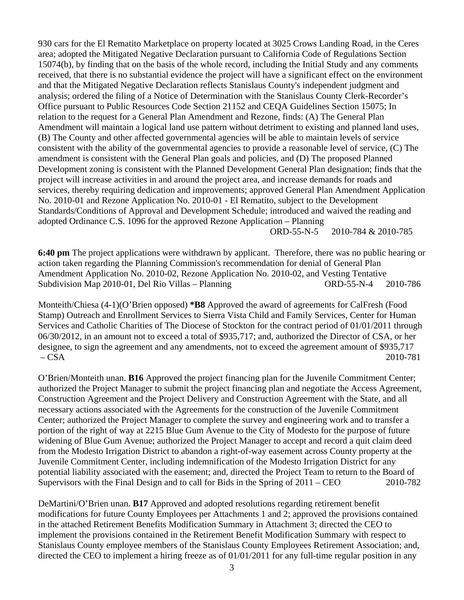930 cars for the El Rematito Marketplace on property located at 3025 Crows Landing Road, in the Ceres area; adopted the Mitigated Negative Declaration pursuant to California Code of Regulations Section 15074(b), by finding that on the basis of the whole record, including the Initial Study and any comments received, that there is no substantial evidence the project will have a significant effect on the environment and that the Mitigated Negative Declaration reflects Stanislaus County's independent judgment and analysis; ordered the filing of a Notice of Determination with the Stanislaus County Clerk-Recorder's Office pursuant to Public Resources Code Section 21152 and CEQA Guidelines Section 15075; In relation to the request for a General Plan Amendment and Rezone, finds: (A) The General Plan Amendment will maintain a logical land use pattern without detriment to existing and planned land uses, (B) The County and other affected governmental agencies will be able to maintain levels of service consistent with the ability of the governmental agencies to provide a reasonable level of service, (C) The amendment is consistent with the General Plan goals and policies, and (D) The proposed Planned Development zoning is consistent with the Planned Development General Plan designation; finds that the project will increase activities in and around the project area, and increase demands for roads and services, thereby requiring dedication and improvements; approved General Plan Amendment Application No. 2010-01 and Rezone Application No. 2010-01 - El Rematito, subject to the Development Standards/Conditions of Approval and Development Schedule; introduced and waived the reading and adopted Ordinance C.S. 1096 for the approved Rezone Application – Planning ORD-55-N-5 2010-784 & 2010-785

**6:40 pm** The project applications were withdrawn by applicant. Therefore, there was no public hearing or action taken regarding the Planning Commission's recommendation for denial of General Plan Amendment Application No. 2010-02, Rezone Application No. 2010-02, and Vesting Tentative Subdivision Map 2010-01, Del Rio Villas – Planning ORD-55-N-4 2010-786

Monteith/Chiesa (4-1)(O'Brien opposed) **\*B8** Approved the award of agreements for CalFresh (Food Stamp) Outreach and Enrollment Services to Sierra Vista Child and Family Services, Center for Human Services and Catholic Charities of The Diocese of Stockton for the contract period of 01/01/2011 through 06/30/2012, in an amount not to exceed a total of \$935,717; and, authorized the Director of CSA, or her designee, to sign the agreement and any amendments, not to exceed the agreement amount of \$935,717 – CSA 2010-781

O'Brien/Monteith unan. **B16** Approved the project financing plan for the Juvenile Commitment Center; authorized the Project Manager to submit the project financing plan and negotiate the Access Agreement, Construction Agreement and the Project Delivery and Construction Agreement with the State, and all necessary actions associated with the Agreements for the construction of the Juvenile Commitment Center; authorized the Project Manager to complete the survey and engineering work and to transfer a portion of the right of way at 2215 Blue Gum Avenue to the City of Modesto for the purpose of future widening of Blue Gum Avenue; authorized the Project Manager to accept and record a quit claim deed from the Modesto Irrigation District to abandon a right-of-way easement across County property at the Juvenile Commitment Center, including indemnification of the Modesto Irrigation District for any potential liability associated with the easement; and, directed the Project Team to return to the Board of Supervisors with the Final Design and to call for Bids in the Spring of 2011 – CEO 2010-782

DeMartini/O'Brien unan. **B17** Approved and adopted resolutions regarding retirement benefit modifications for future County Employees per Attachments 1 and 2; approved the provisions contained in the attached Retirement Benefits Modification Summary in Attachment 3; directed the CEO to implement the provisions contained in the Retirement Benefit Modification Summary with respect to Stanislaus County employee members of the Stanislaus County Employees Retirement Association; and, directed the CEO to implement a hiring freeze as of 01/01/2011 for any full-time regular position in any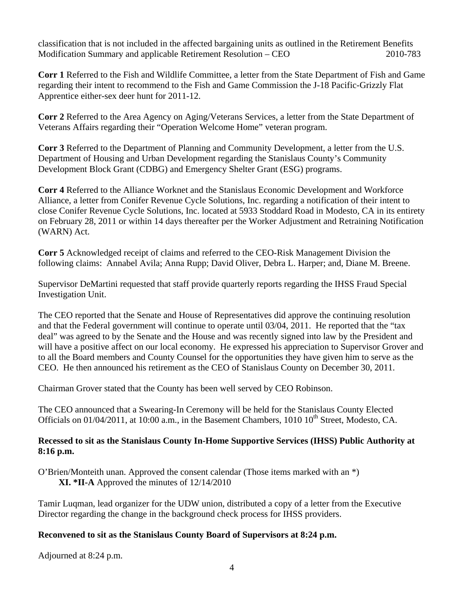classification that is not included in the affected bargaining units as outlined in the Retirement Benefits Modification Summary and applicable Retirement Resolution – CEO 2010-783

**Corr 1** Referred to the Fish and Wildlife Committee, a letter from the State Department of Fish and Game regarding their intent to recommend to the Fish and Game Commission the J-18 Pacific-Grizzly Flat Apprentice either-sex deer hunt for 2011-12.

**Corr 2** Referred to the Area Agency on Aging/Veterans Services, a letter from the State Department of Veterans Affairs regarding their "Operation Welcome Home" veteran program.

**Corr 3** Referred to the Department of Planning and Community Development, a letter from the U.S. Department of Housing and Urban Development regarding the Stanislaus County's Community Development Block Grant (CDBG) and Emergency Shelter Grant (ESG) programs.

**Corr 4** Referred to the Alliance Worknet and the Stanislaus Economic Development and Workforce Alliance, a letter from Conifer Revenue Cycle Solutions, Inc. regarding a notification of their intent to close Conifer Revenue Cycle Solutions, Inc. located at 5933 Stoddard Road in Modesto, CA in its entirety on February 28, 2011 or within 14 days thereafter per the Worker Adjustment and Retraining Notification (WARN) Act.

**Corr 5** Acknowledged receipt of claims and referred to the CEO-Risk Management Division the following claims: Annabel Avila; Anna Rupp; David Oliver, Debra L. Harper; and, Diane M. Breene.

Supervisor DeMartini requested that staff provide quarterly reports regarding the IHSS Fraud Special Investigation Unit.

The CEO reported that the Senate and House of Representatives did approve the continuing resolution and that the Federal government will continue to operate until 03/04, 2011. He reported that the "tax deal" was agreed to by the Senate and the House and was recently signed into law by the President and will have a positive affect on our local economy. He expressed his appreciation to Supervisor Grover and to all the Board members and County Counsel for the opportunities they have given him to serve as the CEO. He then announced his retirement as the CEO of Stanislaus County on December 30, 2011.

Chairman Grover stated that the County has been well served by CEO Robinson.

The CEO announced that a Swearing-In Ceremony will be held for the Stanislaus County Elected Officials on  $01/04/2011$ , at  $10:00$  a.m., in the Basement Chambers,  $1010 10<sup>th</sup>$  Street, Modesto, CA.

## **Recessed to sit as the Stanislaus County In-Home Supportive Services (IHSS) Public Authority at 8:16 p.m.**

O'Brien/Monteith unan. Approved the consent calendar (Those items marked with an \*) **XI. \*II-A** Approved the minutes of 12/14/2010

Tamir Luqman, lead organizer for the UDW union, distributed a copy of a letter from the Executive Director regarding the change in the background check process for IHSS providers.

## **Reconvened to sit as the Stanislaus County Board of Supervisors at 8:24 p.m.**

Adjourned at 8:24 p.m.